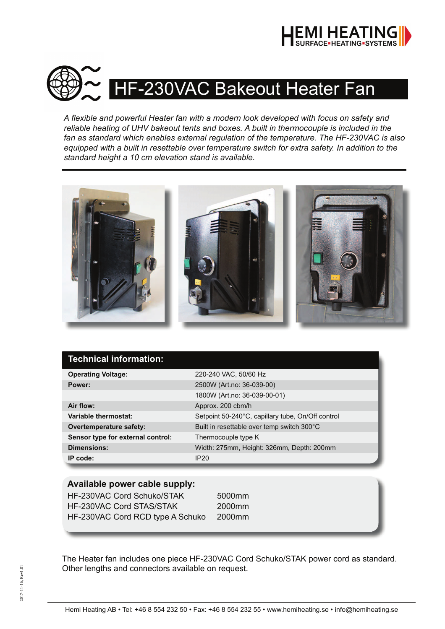



A flexible and powerful Heater fan with a modern look developed with focus on safety and *reliable heating of UHV bakeout tents and boxes. A built in thermocouple is included in the fan as standard which enables external regulation of the temperature. The HF-230VAC is also equipped with a built in resettable over temperature switch for extra safety. In addition to the standard height a 10 cm elevation stand is available.*



| Technical information:            |                                                   |
|-----------------------------------|---------------------------------------------------|
| <b>Operating Voltage:</b>         | 220-240 VAC, 50/60 Hz                             |
| Power:                            | 2500W (Art.no: 36-039-00)                         |
|                                   | 1800W (Art.no: 36-039-00-01)                      |
| Air flow:                         | Approx. 200 cbm/h                                 |
| Variable thermostat:              | Setpoint 50-240°C, capillary tube, On/Off control |
| <b>Overtemperature safety:</b>    | Built in resettable over temp switch 300°C        |
| Sensor type for external control: | Thermocouple type K                               |
| <b>Dimensions:</b>                | Width: 275mm, Height: 326mm, Depth: 200mm         |
| IP code:                          | IP20                                              |

### **Available power cable supply:**

HF-230VAC Cord Schuko/STAK 5000mm HF-230VAC Cord STAS/STAK 2000mm HF-230VAC Cord RCD type A Schuko 2000mm

The Heater fan includes one piece HF-230VAC Cord Schuko/STAK power cord as standard. Other lengths and connectors available on request.